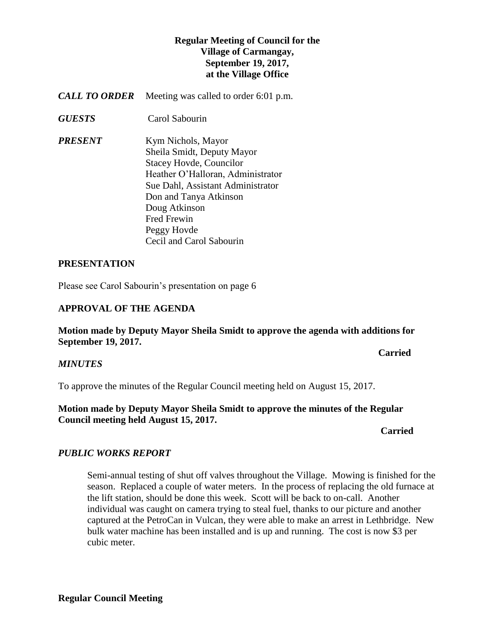## **Regular Meeting of Council for the Village of Carmangay, September 19, 2017, at the Village Office**

- *CALL TO ORDER* Meeting was called to order 6:01 p.m.
- *GUESTS* Carol Sabourin
- *PRESENT* Kym Nichols, Mayor Sheila Smidt, Deputy Mayor Stacey Hovde, Councilor Heather O'Halloran, Administrator Sue Dahl, Assistant Administrator Don and Tanya Atkinson Doug Atkinson Fred Frewin Peggy Hovde Cecil and Carol Sabourin

#### **PRESENTATION**

Please see Carol Sabourin's presentation on page 6

#### **APPROVAL OF THE AGENDA**

**Motion made by Deputy Mayor Sheila Smidt to approve the agenda with additions for September 19, 2017.**

**Carried** 

#### *MINUTES*

To approve the minutes of the Regular Council meeting held on August 15, 2017.

### **Motion made by Deputy Mayor Sheila Smidt to approve the minutes of the Regular Council meeting held August 15, 2017.**

## *Carried*

# *PUBLIC WORKS REPORT*

Semi-annual testing of shut off valves throughout the Village. Mowing is finished for the season. Replaced a couple of water meters. In the process of replacing the old furnace at the lift station, should be done this week. Scott will be back to on-call. Another individual was caught on camera trying to steal fuel, thanks to our picture and another captured at the PetroCan in Vulcan, they were able to make an arrest in Lethbridge. New bulk water machine has been installed and is up and running. The cost is now \$3 per cubic meter.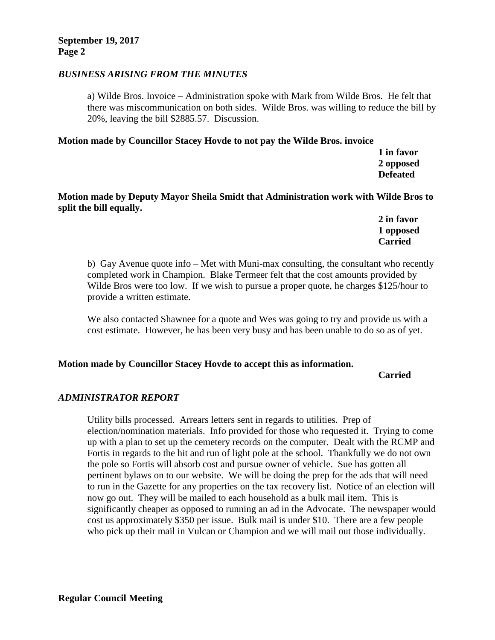#### *BUSINESS ARISING FROM THE MINUTES*

a) Wilde Bros. Invoice – Administration spoke with Mark from Wilde Bros. He felt that there was miscommunication on both sides. Wilde Bros. was willing to reduce the bill by 20%, leaving the bill \$2885.57. Discussion.

#### **Motion made by Councillor Stacey Hovde to not pay the Wilde Bros. invoice**

**1 in favor 2 opposed Defeated**

**Motion made by Deputy Mayor Sheila Smidt that Administration work with Wilde Bros to split the bill equally.**

> **2 in favor 1 opposed Carried**

b) Gay Avenue quote info – Met with Muni-max consulting, the consultant who recently completed work in Champion. Blake Termeer felt that the cost amounts provided by Wilde Bros were too low. If we wish to pursue a proper quote, he charges \$125/hour to provide a written estimate.

We also contacted Shawnee for a quote and Wes was going to try and provide us with a cost estimate. However, he has been very busy and has been unable to do so as of yet.

#### **Motion made by Councillor Stacey Hovde to accept this as information.**

#### **Carried**

#### *ADMINISTRATOR REPORT*

Utility bills processed. Arrears letters sent in regards to utilities. Prep of election/nomination materials. Info provided for those who requested it. Trying to come up with a plan to set up the cemetery records on the computer. Dealt with the RCMP and Fortis in regards to the hit and run of light pole at the school. Thankfully we do not own the pole so Fortis will absorb cost and pursue owner of vehicle. Sue has gotten all pertinent bylaws on to our website. We will be doing the prep for the ads that will need to run in the Gazette for any properties on the tax recovery list. Notice of an election will now go out. They will be mailed to each household as a bulk mail item. This is significantly cheaper as opposed to running an ad in the Advocate. The newspaper would cost us approximately \$350 per issue. Bulk mail is under \$10. There are a few people who pick up their mail in Vulcan or Champion and we will mail out those individually.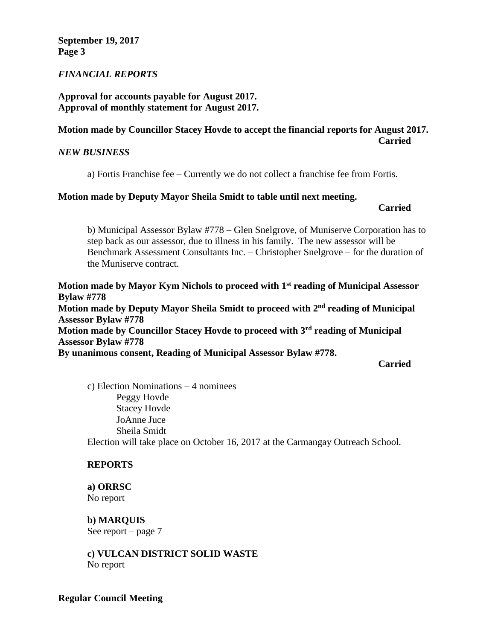**September 19, 2017 Page 3**

#### *FINANCIAL REPORTS*

### **Approval for accounts payable for August 2017. Approval of monthly statement for August 2017.**

#### **Motion made by Councillor Stacey Hovde to accept the financial reports for August 2017. Carried**

#### *NEW BUSINESS*

a) Fortis Franchise fee – Currently we do not collect a franchise fee from Fortis.

#### **Motion made by Deputy Mayor Sheila Smidt to table until next meeting.**

**Carried**

b) Municipal Assessor Bylaw #778 – Glen Snelgrove, of Muniserve Corporation has to step back as our assessor, due to illness in his family. The new assessor will be Benchmark Assessment Consultants Inc. – Christopher Snelgrove – for the duration of the Muniserve contract.

**Motion made by Mayor Kym Nichols to proceed with 1st reading of Municipal Assessor Bylaw #778 Motion made by Deputy Mayor Sheila Smidt to proceed with 2 nd reading of Municipal Assessor Bylaw #778 Motion made by Councillor Stacey Hovde to proceed with 3 rd reading of Municipal Assessor Bylaw #778 By unanimous consent, Reading of Municipal Assessor Bylaw #778.**

**Carried**

c) Election Nominations – 4 nominees Peggy Hovde Stacey Hovde JoAnne Juce Sheila Smidt Election will take place on October 16, 2017 at the Carmangay Outreach School.

#### **REPORTS**

**a) ORRSC** No report

**b) MARQUIS**  See report – page 7

**c) VULCAN DISTRICT SOLID WASTE**  No report

#### **Regular Council Meeting**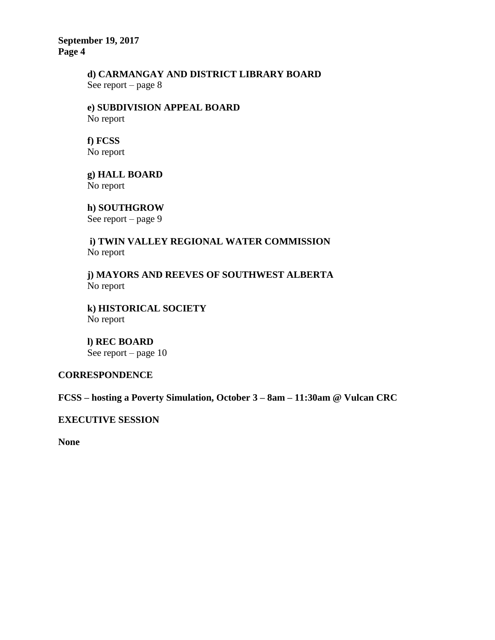**September 19, 2017 Page 4**

# **d) CARMANGAY AND DISTRICT LIBRARY BOARD**

See report – page 8

**e) SUBDIVISION APPEAL BOARD** No report

**f) FCSS**  No report

**g) HALL BOARD** No report

**h) SOUTHGROW** See report – page 9

**i) TWIN VALLEY REGIONAL WATER COMMISSION** No report

**j) MAYORS AND REEVES OF SOUTHWEST ALBERTA** No report

**k) HISTORICAL SOCIETY** No report

**l) REC BOARD** See report – page 10

## **CORRESPONDENCE**

**FCSS – hosting a Poverty Simulation, October 3 – 8am – 11:30am @ Vulcan CRC**

**EXECUTIVE SESSION**

**None**